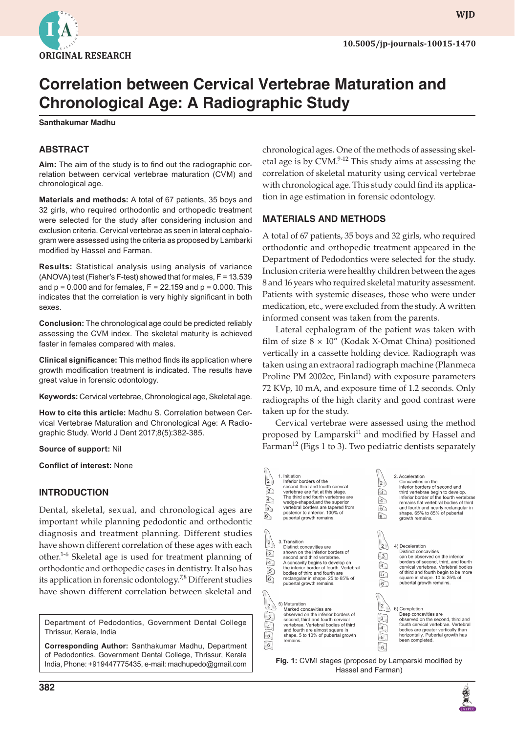

**wjd**

# **Correlation between Cervical Vertebrae Maturation and Chronological Age: A Radiographic Study**

**Santhakumar Madhu**

## **ABSTRACT**

**Aim:** The aim of the study is to find out the radiographic correlation between cervical vertebrae maturation (CVM) and chronological age.

**Materials and methods:** A total of 67 patients, 35 boys and 32 girls, who required orthodontic and orthopedic treatment were selected for the study after considering inclusion and exclusion criteria. Cervical vertebrae as seen in lateral cephalogram were assessed using the criteria as proposed by Lambarki modified by Hassel and Farman.

**Results:** Statistical analysis using analysis of variance (ANOVA) test (Fisher's F-test) showed that for males, F = 13.539 and  $p = 0.000$  and for females,  $F = 22.159$  and  $p = 0.000$ . This indicates that the correlation is very highly significant in both sexes.

**Conclusion:** The chronological age could be predicted reliably assessing the CVM index. The skeletal maturity is achieved faster in females compared with males.

**Clinical significance:** This method finds its application where growth modification treatment is indicated. The results have great value in forensic odontology.

**Keywords:** Cervical vertebrae, Chronological age, Skeletal age.

**How to cite this article:** Madhu S. Correlation between Cervical Vertebrae Maturation and Chronological Age: A Radiographic Study. World J Dent 2017;8(5):382-385.

**Source of support:** Nil

**Conflict of interest:** None

## **INTRODUCTION**

Dental, skeletal, sexual, and chronological ages are important while planning pedodontic and orthodontic diagnosis and treatment planning. Different studies have shown different correlation of these ages with each other.1-6 Skeletal age is used for treatment planning of orthodontic and orthopedic cases in dentistry. It also has its application in forensic odontology.7,8 Different studies have shown different correlation between skeletal and

Department of Pedodontics, Government Dental College Thrissur, Kerala, India

**Corresponding Author:** Santhakumar Madhu, Department of Pedodontics, Government Dental College, Thrissur, Kerala India, Phone: +919447775435, e-mail: madhupedo@gmail.com

chronological ages. One of the methods of assessing skeletal age is by CVM.<sup>9-12</sup> This study aims at assessing the correlation of skeletal maturity using cervical vertebrae with chronological age. This study could find its application in age estimation in forensic odontology.

## **MATERIALS AND METHODS**

A total of 67 patients, 35 boys and 32 girls, who required orthodontic and orthopedic treatment appeared in the Department of Pedodontics were selected for the study. Inclusion criteria were healthy children between the ages 8 and 16 years who required skeletal maturity assessment. Patients with systemic diseases, those who were under medication, etc., were excluded from the study. A written informed consent was taken from the parents.

Lateral cephalogram of the patient was taken with film of size  $8 \times 10''$  (Kodak X-Omat China) positioned vertically in a cassette holding device. Radiograph was taken using an extraoral radiograph machine (Planmeca Proline PM 2002cc, Finland) with exposure parameters 72 KVp, 10 mA, and exposure time of 1.2 seconds. Only radiographs of the high clarity and good contrast were taken up for the study.

Cervical vertebrae were assessed using the method proposed by Lamparski<sup>11</sup> and modified by Hassel and Farman<sup>12</sup> (Figs 1 to 3). Two pediatric dentists separately

| $\overline{a}$<br>$\begin{picture}(45,4) \put(0,0) {\line(1,0){15}} \put(15,0) {\line(1,0){15}} \put(15,0) {\line(1,0){15}} \put(15,0) {\line(1,0){15}} \put(15,0) {\line(1,0){15}} \put(15,0) {\line(1,0){15}} \put(15,0) {\line(1,0){15}} \put(15,0) {\line(1,0){15}} \put(15,0) {\line(1,0){15}} \put(15,0) {\line(1,0){15}} \put(15,0) {\line(1,0){15}} \put(15,0) {\line(1,$ | 1. Initiation<br>Inferior borders of the<br>second third and fourth cervical<br>vertebrae are flat at this stage.<br>The third and fourth vertebrae are<br>wedge-shaped, and the superior<br>vertebral borders are tapered from<br>posterior to anterior, 100% of<br>pubertal growth remains.    | $\overline{2}$<br>$\overline{3}$<br>$\widehat{4}$<br>$\sqrt{5}$<br>6                   | 2. Acceleration<br>Concavities on the<br>inferior borders of second and<br>third vertebrae begin to develop.<br>Inferior border of the fourth vertebrae<br>remains flat vertebral bodies of third<br>and fourth and nearly rectangular in<br>shape. 65% to 85% of pubertal<br>growth remains. |  |  |  |  |
|-----------------------------------------------------------------------------------------------------------------------------------------------------------------------------------------------------------------------------------------------------------------------------------------------------------------------------------------------------------------------------------|--------------------------------------------------------------------------------------------------------------------------------------------------------------------------------------------------------------------------------------------------------------------------------------------------|----------------------------------------------------------------------------------------|-----------------------------------------------------------------------------------------------------------------------------------------------------------------------------------------------------------------------------------------------------------------------------------------------|--|--|--|--|
| $\overline{\mathbf{c}}$<br>$\left(\frac{1}{\sqrt{2}}\right)$                                                                                                                                                                                                                                                                                                                      | 3. Transition<br>Distinct concavities are<br>shown on the inferior borders of<br>second and third vertebrae.<br>A concavity begins to develop on<br>the inferior border of fourth. Vertebral<br>bodies of third and fourth are<br>rectangular in shape. 25 to 65% of<br>pubertal growth remains. | $\overline{2}$<br>$\overline{3}$<br>$\overline{4}$<br>$\overline{5}$<br>6              | 4) Deceleration<br><b>Distinct concavities</b><br>can be observed on the inferior<br>borders of second, third, and fourth<br>cervical vertebrae. Vertebral bodies<br>of third and fourth begin to be more<br>square in shape. 10 to 25% of<br>pubertal growth remains.                        |  |  |  |  |
| $\overline{\mathbf{c}}$<br>$\frac{3}{2}$<br>$\frac{4}{5}$<br>$6\phantom{.}6$                                                                                                                                                                                                                                                                                                      | 5) Maturation<br>Marked concavities are<br>observed on the inferior borders of<br>second, third and fourth cervical<br>vertebrae. Vertebral bodies of third<br>and fourth are almost square in<br>shape. 5 to 10% of pubertal growth<br>remains.                                                 | $\overline{2}$<br>$\frac{3}{2}$<br>$\overline{4}$<br>$\overline{5}$<br>$6\phantom{.}6$ | 6) Completion<br>Deep concavities are<br>observed on the second, third and<br>fourth cervical vertebrae. Vertebral<br>bodies are greater vertically than<br>horizontally. Pubertal growth has<br>been completed.                                                                              |  |  |  |  |
| <b>Fig. 1:</b> CVMI stages (proposed by Lamparski modified by                                                                                                                                                                                                                                                                                                                     |                                                                                                                                                                                                                                                                                                  |                                                                                        |                                                                                                                                                                                                                                                                                               |  |  |  |  |

Hassel and Farman)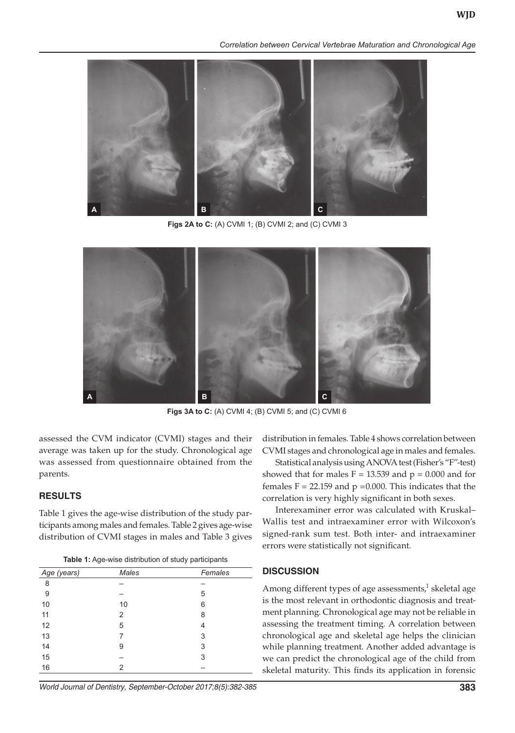*Correlation between Cervical Vertebrae Maturation and Chronological Age*



**Figs 2A to C:** (A) CVMI 1; (B) CVMI 2; and (C) CVMI 3



**Figs 3A to C:** (A) CVMI 4; (B) CVMI 5; and (C) CVMI 6

assessed the CVM indicator (CVMI) stages and their average was taken up for the study. Chronological age was assessed from questionnaire obtained from the parents.

#### **RESULTS**

Table 1 gives the age-wise distribution of the study participants among males and females. Table 2 gives age-wise distribution of CVMI stages in males and Table 3 gives

| Table 1: Age-wise distribution of study participants |  |  |  |
|------------------------------------------------------|--|--|--|
|------------------------------------------------------|--|--|--|

| - כי יים יים י |       |         |  |  |  |  |
|----------------|-------|---------|--|--|--|--|
| Age (years)    | Males | Females |  |  |  |  |
| 8              |       |         |  |  |  |  |
| 9              |       | 5       |  |  |  |  |
| 10             | 10    | 6       |  |  |  |  |
| 11             | 2     | 8       |  |  |  |  |
| 12             | 5     | 4       |  |  |  |  |
| 13             | 7     | 3       |  |  |  |  |
| 14             | 9     | 3       |  |  |  |  |
| 15             |       | 3       |  |  |  |  |
| 16             | 2     |         |  |  |  |  |

distribution in females. Table 4 shows correlation between CVMI stages and chronological age in males and females.

Statistical analysis using ANOVA test (Fisher's "F"-test) showed that for males  $F = 13.539$  and  $p = 0.000$  and for females  $F = 22.159$  and  $p = 0.000$ . This indicates that the correlation is very highly significant in both sexes.

Interexaminer error was calculated with Kruskal– Wallis test and intraexaminer error with Wilcoxon's signed-rank sum test. Both inter- and intraexaminer errors were statistically not significant.

#### **DISCUSSION**

Among different types of age assessments,<sup>1</sup> skeletal age is the most relevant in orthodontic diagnosis and treatment planning. Chronological age may not be reliable in assessing the treatment timing. A correlation between chronological age and skeletal age helps the clinician while planning treatment. Another added advantage is we can predict the chronological age of the child from skeletal maturity. This finds its application in forensic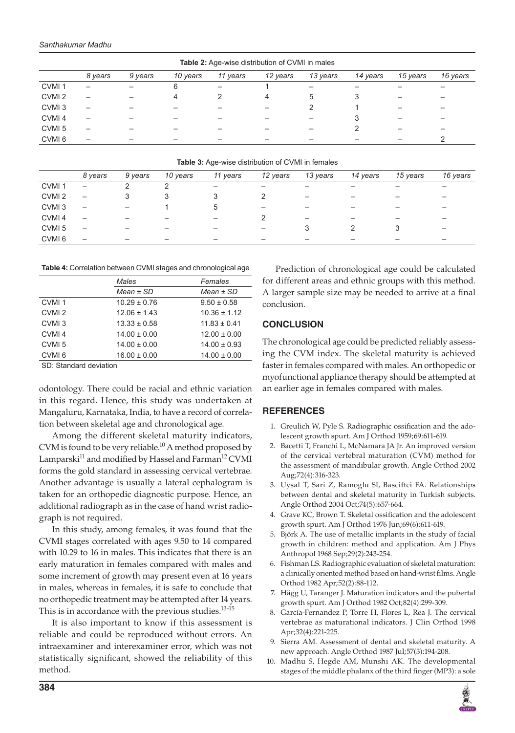| <b>Table 2:</b> Age-wise distribution of CVMI in males |         |         |          |          |          |          |          |          |          |
|--------------------------------------------------------|---------|---------|----------|----------|----------|----------|----------|----------|----------|
|                                                        | 8 years | 9 years | 10 years | 11 years | 12 years | 13 years | 14 years | 15 years | 16 years |
| CVMI <sub>1</sub>                                      |         |         | 6        |          |          |          |          |          |          |
| CVMI <sub>2</sub>                                      | -       |         | 4        |          | 4        | 5        | 3        |          |          |
| CVMI <sub>3</sub>                                      |         |         |          |          |          |          |          |          |          |
| CVMI <sub>4</sub>                                      |         |         |          |          |          | -        | 3        |          |          |
| CVMI <sub>5</sub>                                      | -       |         |          |          |          |          |          |          |          |
| CVMI <sub>6</sub>                                      |         |         |          |          |          |          |          |          |          |

**Table 3:** Age-wise distribution of CVMI in females

|                   | 8 years                  | 9 years | 10 years | 11 years | 12 years | 13 years                 | 14 years | 15 years | 16 years |
|-------------------|--------------------------|---------|----------|----------|----------|--------------------------|----------|----------|----------|
| CVMI <sub>1</sub> | $\qquad \qquad -$        |         |          | -        | -        | -                        | -        |          |          |
| CVMI <sub>2</sub> | $\qquad \qquad -$        | 3       |          | 3        |          | $\overline{\phantom{0}}$ | -        |          |          |
| CVMI <sub>3</sub> |                          |         |          | 5        | -        |                          | -        |          |          |
| CVMI <sub>4</sub> | $\overline{\phantom{0}}$ |         |          | -        |          | $\overline{\phantom{0}}$ | -        |          |          |
| CVMI <sub>5</sub> | $\overline{\phantom{0}}$ |         |          |          | -        |                          |          |          |          |
| CVMI <sub>6</sub> | $\qquad \qquad \qquad$   |         |          | -        | -        |                          | -        | -        |          |

**Table 4:** Correlation between CVMI stages and chronological age

|                   | Males            | Females          |  |  |
|-------------------|------------------|------------------|--|--|
|                   | $Mean \pm SD$    | $Mean \pm SD$    |  |  |
| CVMI <sub>1</sub> | $10.29 \pm 0.76$ | $9.50 \pm 0.58$  |  |  |
| CVMI <sub>2</sub> | $12.06 \pm 1.43$ | $10.36 \pm 1.12$ |  |  |
| CVMI <sub>3</sub> | $13.33 \pm 0.58$ | $11.83 \pm 0.41$ |  |  |
| CVMI <sub>4</sub> | $14.00 \pm 0.00$ | $12.00 \pm 0.00$ |  |  |
| CVMI <sub>5</sub> | $14.00 \pm 0.00$ | $14.00 \pm 0.93$ |  |  |
| CVMI <sub>6</sub> | $16.00 \pm 0.00$ | $14.00 \pm 0.00$ |  |  |
|                   |                  |                  |  |  |

SD: Standard deviation

odontology. There could be racial and ethnic variation in this regard. Hence, this study was undertaken at Mangaluru, Karnataka, India, to have a record of correlation between skeletal age and chronological age.

Among the different skeletal maturity indicators, CVM is found to be very reliable.<sup>10</sup> A method proposed by Lamparski<sup>11</sup> and modified by Hassel and Farman<sup>12</sup> CVMI forms the gold standard in assessing cervical vertebrae. Another advantage is usually a lateral cephalogram is taken for an orthopedic diagnostic purpose. Hence, an additional radiograph as in the case of hand wrist radiograph is not required.

In this study, among females, it was found that the CVMI stages correlated with ages 9.50 to 14 compared with 10.29 to 16 in males. This indicates that there is an early maturation in females compared with males and some increment of growth may present even at 16 years in males, whereas in females, it is safe to conclude that no orthopedic treatment may be attempted after 14 years. This is in accordance with the previous studies.<sup>13-15</sup>

It is also important to know if this assessment is reliable and could be reproduced without errors. An intraexaminer and interexaminer error, which was not statistically significant, showed the reliability of this method.

Prediction of chronological age could be calculated for different areas and ethnic groups with this method. A larger sample size may be needed to arrive at a final conclusion.

## **CONCLUSION**

The chronological age could be predicted reliably assessing the CVM index. The skeletal maturity is achieved faster in females compared with males. An orthopedic or myofunctional appliance therapy should be attempted at an earlier age in females compared with males.

# **REFERENCES**

- 1. Greulich W, Pyle S. Radiographic ossification and the adolescent growth spurt. Am J Orthod 1959;69:611-619.
- 2. Bacetti T, Franchi L, McNamara JA Jr. An improved version of the cervical vertebral maturation (CVM) method for the assessment of mandibular growth. Angle Orthod 2002 Aug;72(4):316-323.
- 3. Uysal T, Sari Z, Ramoglu SI, Basciftci FA. Relationships between dental and skeletal maturity in Turkish subjects. Angle Orthod 2004 Oct;74(5):657-664.
- 4. Grave KC, Brown T. Skeletal ossification and the adolescent growth spurt. Am J Orthod 1976 Jun;69(6):611-619.
- 5. Björk A. The use of metallic implants in the study of facial growth in children: method and application. Am J Phys Anthropol 1968 Sep;29(2):243-254.
- 6. Fishman LS. Radiographic evaluation of skeletal maturation: a clinically oriented method based on hand-wrist films. Angle Orthod 1982 Apr;52(2):88-112.
- 7. Hägg U, Taranger J. Maturation indicators and the pubertal growth spurt. Am J Orthod 1982 Oct;82(4):299-309.
- 8. García-Fernandez P, Torre H, Flores L, Rea J. The cervical vertebrae as maturational indicators. J Clin Orthod 1998 Apr;32(4):221-225.
- 9. Sierra AM. Assessment of dental and skeletal maturity. A new approach. Angle Orthod 1987 Jul;57(3):194-208.
- 10. Madhu S, Hegde AM, Munshi AK. The developmental stages of the middle phalanx of the third finger (MP3): a sole